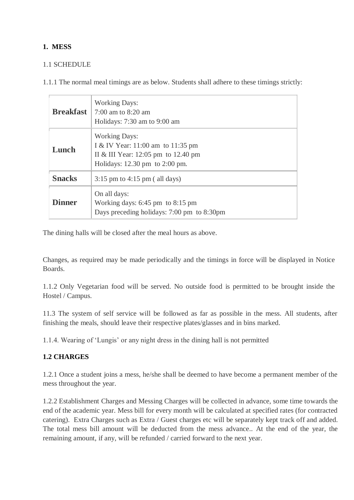## **1. MESS**

## 1.1 SCHEDULE

1.1.1 The normal meal timings are as below. Students shall adhere to these timings strictly:

| <b>Breakfast</b> | <b>Working Days:</b><br>$7:00$ am to $8:20$ am<br>Holidays: 7:30 am to 9:00 am                                                                          |
|------------------|---------------------------------------------------------------------------------------------------------------------------------------------------------|
| Lunch            | <b>Working Days:</b><br>I & IV Year: 11:00 am to 11:35 pm<br>II & III Year: 12:05 pm to 12.40 pm<br>Holidays: $12.30 \text{ pm}$ to $2:00 \text{ pm}$ . |
| <b>Snacks</b>    | $3:15$ pm to $4:15$ pm (all days)                                                                                                                       |
| <b>Dinner</b>    | On all days:<br>Working days: $6:45 \text{ pm}$ to $8:15 \text{ pm}$<br>Days preceding holidays: 7:00 pm to 8:30pm                                      |

The dining halls will be closed after the meal hours as above.

Changes, as required may be made periodically and the timings in force will be displayed in Notice Boards.

1.1.2 Only Vegetarian food will be served. No outside food is permitted to be brought inside the Hostel / Campus.

11.3 The system of self service will be followed as far as possible in the mess. All students, after finishing the meals, should leave their respective plates/glasses and in bins marked.

1.1.4. Wearing of 'Lungis' or any night dress in the dining hall is not permitted

## **1.2 CHARGES**

1.2.1 Once a student joins a mess, he/she shall be deemed to have become a permanent member of the mess throughout the year.

1.2.2 Establishment Charges and Messing Charges will be collected in advance, some time towards the end of the academic year. Mess bill for every month will be calculated at specified rates (for contracted catering). Extra Charges such as Extra / Guest charges etc will be separately kept track off and added. The total mess bill amount will be deducted from the mess advance.. At the end of the year, the remaining amount, if any, will be refunded / carried forward to the next year.